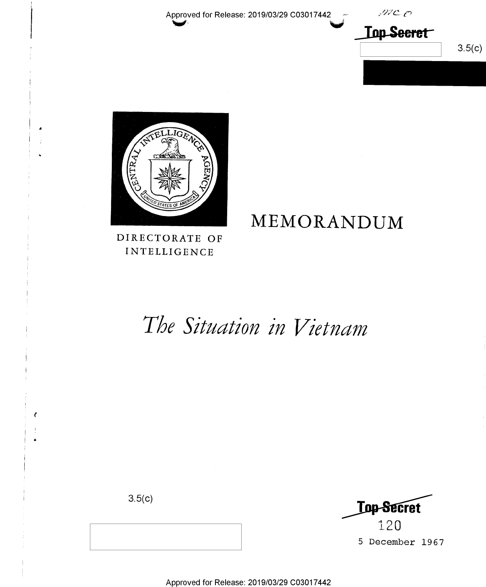Approved for Release: 2019/03/29 C03017442

 $MCO$ **Top Secret** 

 $3.5(c)$ 



DIRECTORATE OF **INTELLIGENCE** 

# MEMORANDUM

# The Situation in Vietnam

 $3.5(c)$ 



5 December 1967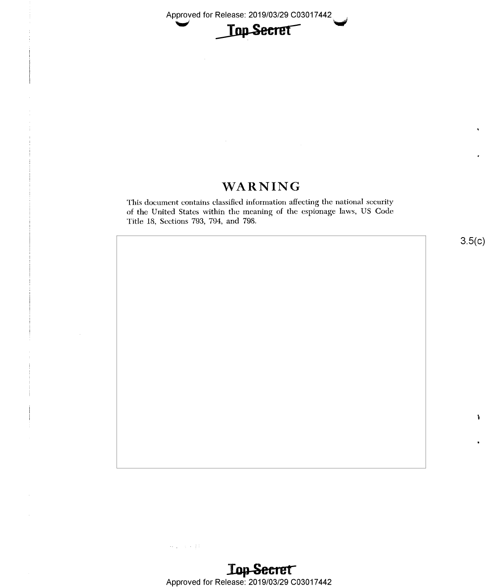

## WARNING

This document contains classified information affecting the national security of the United States within the meaning of the espionage laws, US Code Title 18, Sections 793, 794, and 798.

 $\{x_{i+1},\ldots,x_{i+1}\}$  for

§

 $\ddot{\phantom{0}}$ 

1-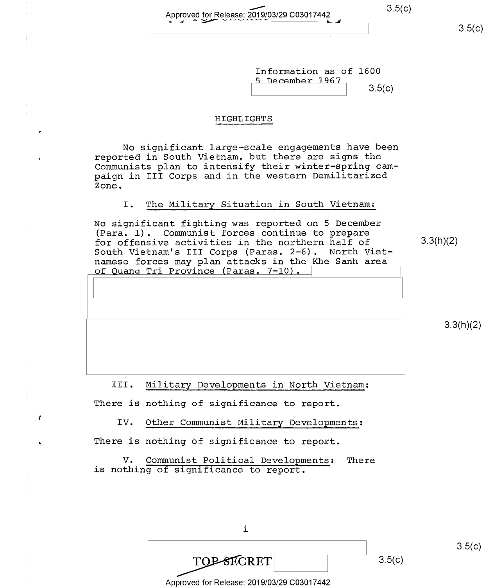Approved for Release: 2019/03/29 C03017442 3.5(c)

 $3.5(c)$ 

Information as of 1600<br>5 December 1967

 $3.5(c)$ 

#### HIGHLIGHTS

No significant large—scale engagements have been reported in South Vietnam, but there are signs the Communists plan to intensify their winter-spring campaign in III Corps and in the western Demilitarized Zone.

### I. The Military Situation in South Vietnam:

No significant fighting was reported on 5 December (Para. l). Communist forces continue to prepare for offensive activities in the northern half of  $3.3(h)(2)$ South Vietnam's III Corps (Paras. 2-6). North Vietnamese forces may plan attacks in the Khe Sanh area <u>of Quanq Tri Province (Paras. 7-10).</u>

 $3.3(h)(2)$ 

III. Military Developments in North Vietnam:

There is nothing of significance to report.

{ IV. Other Communist Military Developments:

There is nothing of significance to report.

V. Communist Political Developments: There is nothing of significance to report.

i

| <b>DESECRET</b>                            | 3.5(c) |
|--------------------------------------------|--------|
| Approved for Release: 2019/03/29 C03017442 |        |

 $3.5(c)$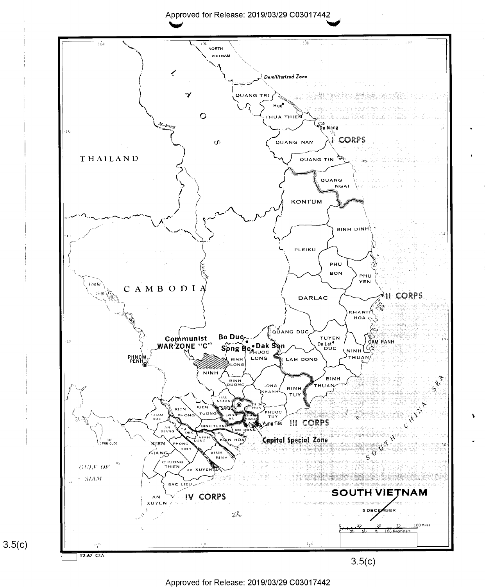Approved for Release: 2019/03/29 C03017442



Approved for Release: 2019/03/29 C03017442

 $3.5(c)$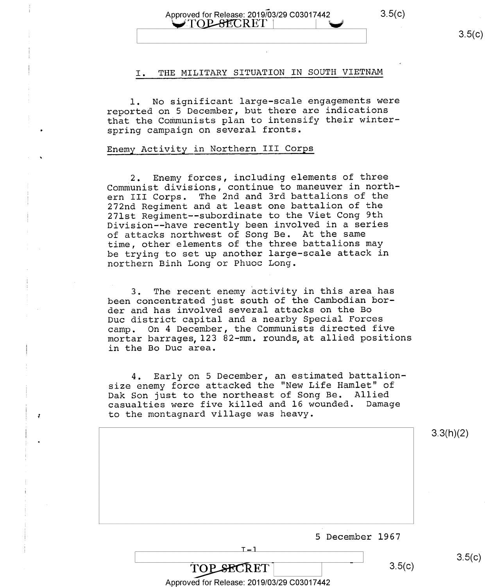#### Approved for Release: 2019/03/29 C03017442 3.5(c)  $\bigcup$ TOP-8ECRET

 $3.5(c)$ 

#### I. THE MILITARY SITUATION IN SOUTH VIETNAM

l. No significant large-scale engagements were reported on 5 December, but there are indications that the Communists plan to intensify their winterspring campaign on several fronts.

#### Enemy Activity in Northern III Corps

\_2. Enemy forces, including elements of three Communist divisions, continue to maneuver in northern III Corps. The 2nd and 3rd battalions of the 272nd Regiment and at least one battalion of the 271st Regiment--subordinate to the Viet Cong 9th Division--have recently been involved in a series of attacks northwest of Song Be. At the same time, other elements of the three battalions may be trying to set up another large-scale attack in northern Binh Long or Phuoc Long.

3. The recent enemy activity in this area has been concentrated just south of the Cambodian border and has involved several attacks on the Bo Duc district capital and a nearby Special Forces camp. On 4 December, the Communists directed five mortar barrages,l23 82-mm. rounds,at allied positions in the Bo Duc area.

4. Early on 5 December, an estimated battalionsize enemy force attacked the "New Life Hamlet" of Dak Son just to the northeast of Song Be. Allied casualties were five killed and l6 wounded. Damage to the montagnard village was heavy.

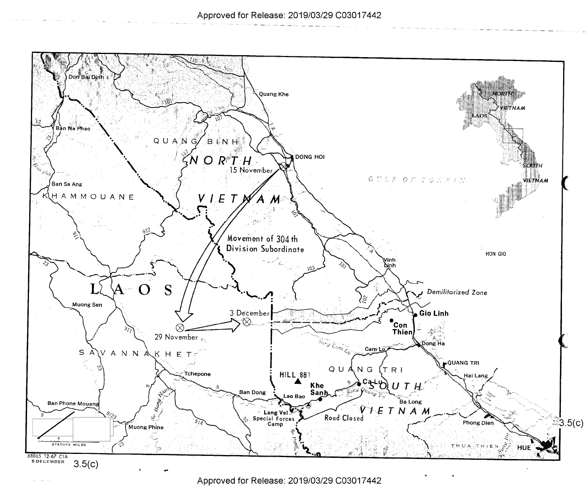

Approved for Release: 2019/03/29 C03017442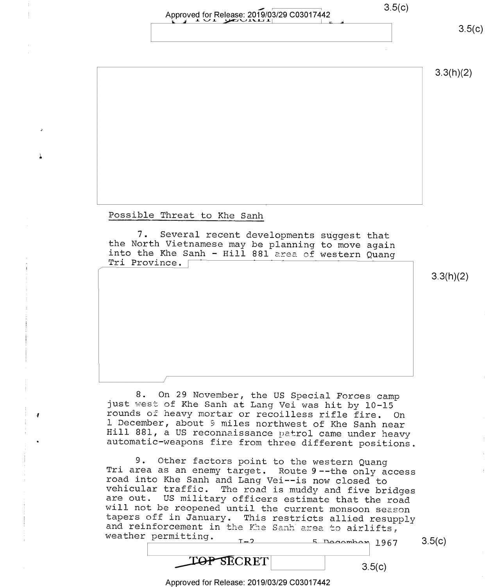### Approved for Release: 2019/03/29 C03017442 3.5(c) EV I \_l\_ \/1. y¢£l\.J.l\_\..l\_\_'lJ\_\ \ <sup>I</sup> <sup>5</sup>

 $3.5(c)$ 

3.3(h)(2)

Possible Threat to Khe Sanh

ééénni désa di kacamatan di kacamatan di kacamatan di kacamatan di kacamatan di kacamatan di kacamatan di kaca

7. Several recent developments suggest that<br>the North Vietnamese may be planning to move again Tri Province. [ into the Khe Sanh - Hill 881 area of western Quanq

3.3(h)(2)

8. On 29 November, the US Special Forces camp<br>just west of Khe Sanh at Lang Vei was hit by 10-15<br>rounds of heavy mortar or recoilless rifle fire. On<br>1 December, about 9 miles northwest of Khe Sanh near Hill 881, a US reconnaissance patrol came under heavy automatic-weapons fire from three different positions.

9. Other factors point to the western Quang<br>Tri area as an enemy target. Route 9--the only access<br>road into Khe Sanh and Lang Vei--is now closed to<br>vehicular traffic. The road is muddy and five bridges<br>are out. US military

**TOP SECRET** 

Approved for Release: 2019/03/29 C03017442

 $3.5(c)$ 

 $3.5(c)$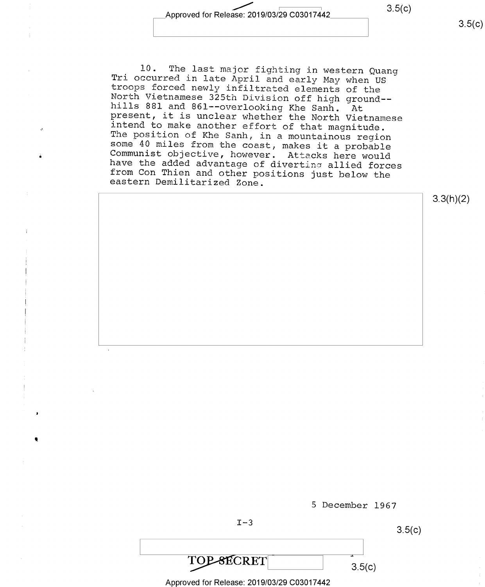Approved for Release: 2019/03/29 C03017442 3.5(c)

 $3.5(c)$ 

10. The last major fighting in western Quang<br>Tri occurred in late April and early May when US<br>troops forced newly infiltrated elements of the<br>North Vietnamese 325th Division off high ground--<br>hills 881 and 861--overlooking

3.3(h)(2)



Approved for Release: 2019/03/29 C03017442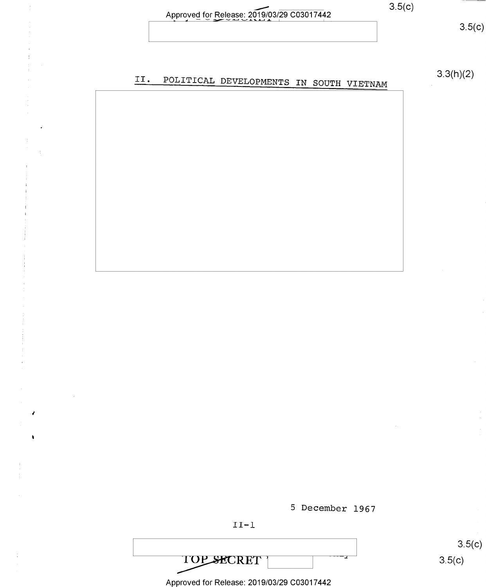| ıſ |  |
|----|--|
|    |  |

|                                            | 3.5(c) |
|--------------------------------------------|--------|
| Approved for Release: 2019/03/29 C03017442 |        |
|                                            |        |

 $3.5(c)$ 

POLITICAL DEVELOPMENTS IN SOUTH VIETNAM 3.3(h)(2)  $II.$ 



 $3.5(c)$  $3.5(c)$